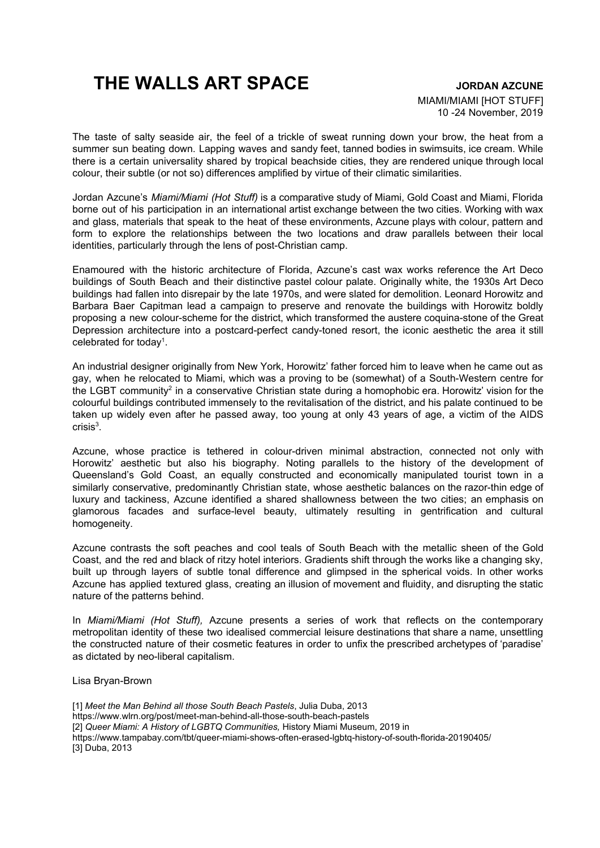## **THE WALLS ART SPACE JORDAN AZCUNE**

## MIAMI/MIAMI [HOT STUFF] 10 -24 November, 2019

The taste of salty seaside air, the feel of a trickle of sweat running down your brow, the heat from a summer sun beating down. Lapping waves and sandy feet, tanned bodies in swimsuits, ice cream. While there is a certain universality shared by tropical beachside cities, they are rendered unique through local colour, their subtle (or not so) differences amplified by virtue of their climatic similarities.

Jordan Azcune's *Miami/Miami (Hot Stuff)* is a comparative study of Miami, Gold Coast and Miami, Florida borne out of his participation in an international artist exchange between the two cities. Working with wax and glass, materials that speak to the heat of these environments, Azcune plays with colour, pattern and form to explore the relationships between the two locations and draw parallels between their local identities, particularly through the lens of post-Christian camp.

Enamoured with the historic architecture of Florida, Azcune's cast wax works reference the Art Deco buildings of South Beach and their distinctive pastel colour palate. Originally white, the 1930s Art Deco buildings had fallen into disrepair by the late 1970s, and were slated for demolition. Leonard Horowitz and Barbara Baer Capitman lead a campaign to preserve and renovate the buildings with Horowitz boldly proposing a new colour-scheme for the district, which transformed the austere coquina-stone of the Great Depression architecture into a postcard-perfect candy-toned resort, the iconic aesthetic the area it still celebrated for today<sup>1</sup>.

An industrial designer originally from New York, Horowitz' father forced him to leave when he came out as gay, when he relocated to Miami, which was a proving to be (somewhat) of a South-Western centre for the LGBT community<sup>2</sup> in a conservative Christian state during a homophobic era. Horowitz' vision for the colourful buildings contributed immensely to the revitalisation of the district, and his palate continued to be taken up widely even after he passed away, too young at only 43 years of age, a victim of the AIDS  $crisis<sup>3</sup>$ .

Azcune, whose practice is tethered in colour-driven minimal abstraction, connected not only with Horowitz' aesthetic but also his biography. Noting parallels to the history of the development of Queensland's Gold Coast, an equally constructed and economically manipulated tourist town in a similarly conservative, predominantly Christian state, whose aesthetic balances on the razor-thin edge of luxury and tackiness, Azcune identified a shared shallowness between the two cities; an emphasis on glamorous facades and surface-level beauty, ultimately resulting in gentrification and cultural homogeneity.

Azcune contrasts the soft peaches and cool teals of South Beach with the metallic sheen of the Gold Coast, and the red and black of ritzy hotel interiors. Gradients shift through the works like a changing sky, built up through layers of subtle tonal difference and glimpsed in the spherical voids. In other works Azcune has applied textured glass, creating an illusion of movement and fluidity, and disrupting the static nature of the patterns behind.

In *Miami/Miami (Hot Stuff),* Azcune presents a series of work that reflects on the contemporary metropolitan identity of these two idealised commercial leisure destinations that share a name, unsettling the constructed nature of their cosmetic features in order to unfix the prescribed archetypes of 'paradise' as dictated by neo-liberal capitalism.

Lisa Bryan-Brown

[1] *Meet the Man Behind all those South Beach Pastels*, Julia Duba, 2013 https://www.wlrn.org/post/meet-man-behind-all-those-south-beach-pastels [2] *Queer Miami: A History of LGBTQ Communities,* History Miami Museum, 2019 in https://www.tampabay.com/tbt/queer-miami-shows-often-erased-lgbtq-history-of-south-florida-20190405/ [3] Duba, 2013